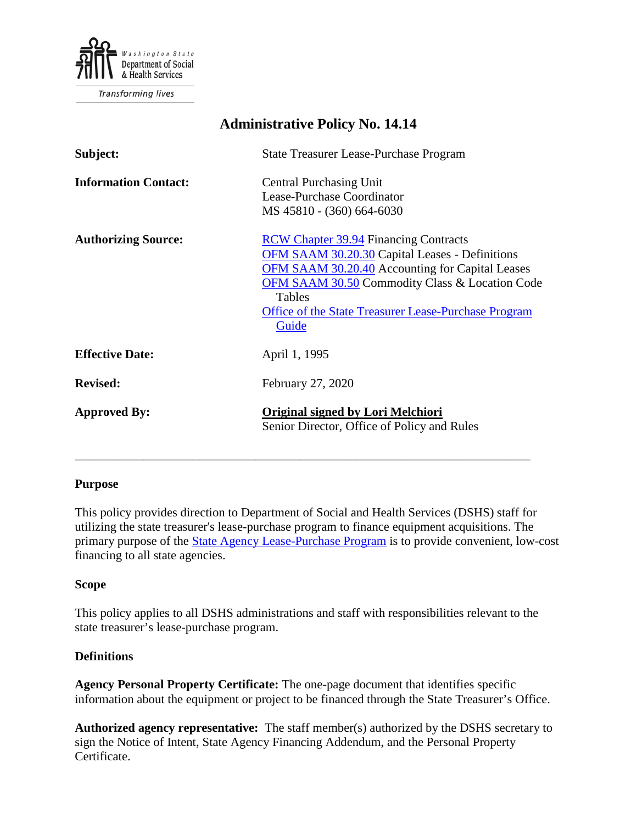

**Transforming lives** 

# **Administrative Policy No. 14.14 Subject:** State Treasurer Lease-Purchase Program **Information Contact:** Central Purchasing Unit Lease-Purchase Coordinator MS 45810 - (360) 664-6030

| <b>Authorizing Source:</b> | <b>RCW Chapter 39.94 Financing Contracts</b>                                     |
|----------------------------|----------------------------------------------------------------------------------|
|                            | <b>OFM SAAM 30.20.30 Capital Leases - Definitions</b>                            |
|                            | OFM SAAM 30.20.40 Accounting for Capital Leases                                  |
|                            | <b>OFM SAAM 30.50 Commodity Class &amp; Location Code</b>                        |
|                            | Tables                                                                           |
|                            | Office of the State Treasurer Lease-Purchase Program                             |
|                            | Guide                                                                            |
| <b>Effective Date:</b>     | April 1, 1995                                                                    |
| <b>Revised:</b>            | February 27, 2020                                                                |
| <b>Approved By:</b>        | Original signed by Lori Melchiori<br>Senior Director, Office of Policy and Rules |

### **Purpose**

This policy provides direction to Department of Social and Health Services (DSHS) staff for utilizing the state treasurer's lease-purchase program to finance equipment acquisitions. The primary purpose of the [State Agency Lease-Purchase Program](https://tre.wa.gov/home/debt-management/certificates_of_participation/) is to provide convenient, low-cost financing to all state agencies.

\_\_\_\_\_\_\_\_\_\_\_\_\_\_\_\_\_\_\_\_\_\_\_\_\_\_\_\_\_\_\_\_\_\_\_\_\_\_\_\_\_\_\_\_\_\_\_\_\_\_\_\_\_\_\_\_\_\_\_\_\_\_\_\_\_\_\_\_\_\_\_\_\_

#### **Scope**

This policy applies to all DSHS administrations and staff with responsibilities relevant to the state treasurer's lease-purchase program.

#### **Definitions**

**Agency Personal Property Certificate:** The one-page document that identifies specific information about the equipment or project to be financed through the State Treasurer's Office.

**Authorized agency representative:** The staff member(s) authorized by the DSHS secretary to sign the Notice of Intent, State Agency Financing Addendum, and the Personal Property Certificate.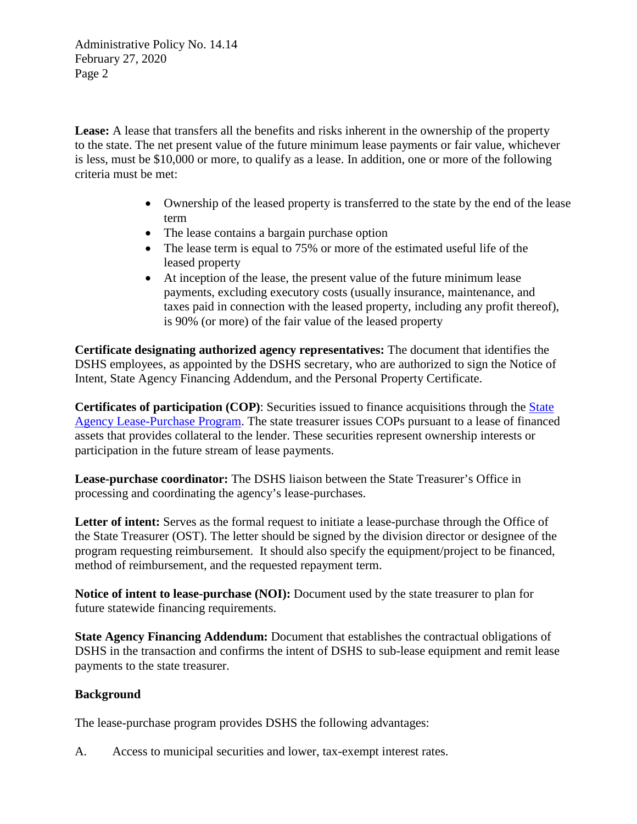Administrative Policy No. 14.14 February 27, 2020 Page 2

**Lease:** A lease that transfers all the benefits and risks inherent in the ownership of the property to the state. The net present value of the future minimum lease payments or fair value, whichever is less, must be \$10,000 or more, to qualify as a lease. In addition, one or more of the following criteria must be met:

- Ownership of the leased property is transferred to the state by the end of the lease term
- The lease contains a bargain purchase option
- The lease term is equal to 75% or more of the estimated useful life of the leased property
- At inception of the lease, the present value of the future minimum lease payments, excluding executory costs (usually insurance, maintenance, and taxes paid in connection with the leased property, including any profit thereof), is 90% (or more) of the fair value of the leased property

**Certificate designating authorized agency representatives:** The document that identifies the DSHS employees, as appointed by the DSHS secretary, who are authorized to sign the Notice of Intent, State Agency Financing Addendum, and the Personal Property Certificate.

**Certificates of participation (COP)**: Securities issued to finance acquisitions through the [State](https://tre.wa.gov/home/debt-management/certificates_of_participation/)  [Agency Lease-Purchase Program.](https://tre.wa.gov/home/debt-management/certificates_of_participation/) The state treasurer issues COPs pursuant to a lease of financed assets that provides collateral to the lender. These securities represent ownership interests or participation in the future stream of lease payments.

**Lease-purchase coordinator:** The DSHS liaison between the State Treasurer's Office in processing and coordinating the agency's lease-purchases.

Letter of intent: Serves as the formal request to initiate a lease-purchase through the Office of the State Treasurer (OST). The letter should be signed by the division director or designee of the program requesting reimbursement. It should also specify the equipment/project to be financed, method of reimbursement, and the requested repayment term.

**Notice of intent to lease-purchase (NOI):** Document used by the state treasurer to plan for future statewide financing requirements.

**State Agency Financing Addendum:** Document that establishes the contractual obligations of DSHS in the transaction and confirms the intent of DSHS to sub-lease equipment and remit lease payments to the state treasurer.

# **Background**

The lease-purchase program provides DSHS the following advantages:

A. Access to municipal securities and lower, tax-exempt interest rates.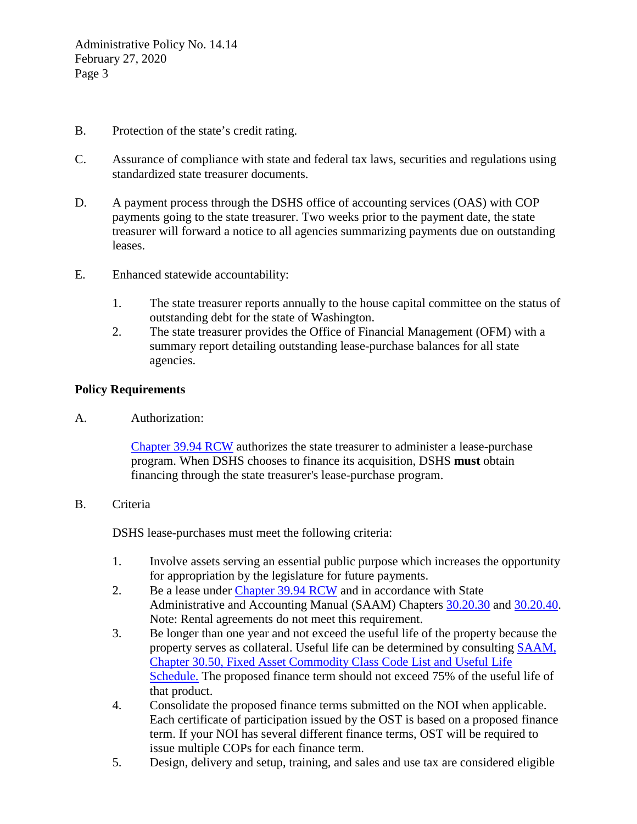- B. Protection of the state's credit rating.
- C. Assurance of compliance with state and federal tax laws, securities and regulations using standardized state treasurer documents.
- D. A payment process through the DSHS office of accounting services (OAS) with COP payments going to the state treasurer. Two weeks prior to the payment date, the state treasurer will forward a notice to all agencies summarizing payments due on outstanding leases.
- E. Enhanced statewide accountability:
	- 1. The state treasurer reports annually to the house capital committee on the status of outstanding debt for the state of Washington.
	- 2. The state treasurer provides the Office of Financial Management (OFM) with a summary report detailing outstanding lease-purchase balances for all state agencies.

## **Policy Requirements**

A. Authorization:

[Chapter 39.94 RCW](http://apps.leg.wa.gov/RCW/default.aspx?cite=39.94) authorizes the state treasurer to administer a lease-purchase program. When DSHS chooses to finance its acquisition, DSHS **must** obtain financing through the state treasurer's lease-purchase program.

B. Criteria

DSHS lease-purchases must meet the following criteria:

- 1. Involve assets serving an essential public purpose which increases the opportunity for appropriation by the legislature for future payments.
- 2. Be a lease under [Chapter 39.94 RCW](http://apps.leg.wa.gov/RCW/default.aspx?cite=39.94) and in accordance with State Administrative and Accounting Manual (SAAM) Chapters [30.20.30](http://www.ofm.wa.gov/policy/30.20.htm#30.20.30) and [30.20.40.](http://www.ofm.wa.gov/policy/30.20.htm#30.20.40) Note: Rental agreements do not meet this requirement.
- 3. Be longer than one year and not exceed the useful life of the property because the property serves as collateral. Useful life can be determined by consulting [SAAM,](http://www.ofm.wa.gov/policy/30.50.htm)  [Chapter 30.50, Fixed Asset Commodity Class Code List and Useful Life](http://www.ofm.wa.gov/policy/30.50.htm)  [Schedule.](http://www.ofm.wa.gov/policy/30.50.htm) The proposed finance term should not exceed 75% of the useful life of that product.
- 4. Consolidate the proposed finance terms submitted on the NOI when applicable. Each certificate of participation issued by the OST is based on a proposed finance term. If your NOI has several different finance terms, OST will be required to issue multiple COPs for each finance term.
- 5. Design, delivery and setup, training, and sales and use tax are considered eligible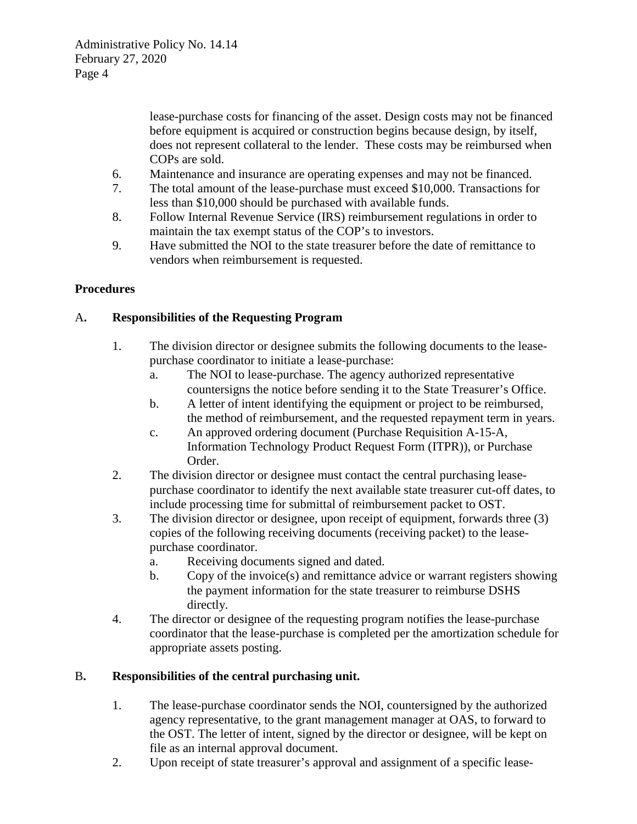lease-purchase costs for financing of the asset. Design costs may not be financed before equipment is acquired or construction begins because design, by itself, does not represent collateral to the lender. These costs may be reimbursed when COPs are sold.

- 6. Maintenance and insurance are operating expenses and may not be financed.
- 7. The total amount of the lease-purchase must exceed \$10,000. Transactions for less than \$10,000 should be purchased with available funds.
- 8. Follow Internal Revenue Service (IRS) reimbursement regulations in order to maintain the tax exempt status of the COP's to investors.
- 9. Have submitted the NOI to the state treasurer before the date of remittance to vendors when reimbursement is requested.

# **Procedures**

# A**. Responsibilities of the Requesting Program**

- 1. The division director or designee submits the following documents to the leasepurchase coordinator to initiate a lease-purchase:
	- a. The NOI to lease-purchase. The agency authorized representative countersigns the notice before sending it to the State Treasurer's Office.
	- b. A letter of intent identifying the equipment or project to be reimbursed, the method of reimbursement, and the requested repayment term in years.
	- c. An approved ordering document (Purchase Requisition A-15-A, Information Technology Product Request Form (ITPR)), or Purchase Order.
- 2. The division director or designee must contact the central purchasing leasepurchase coordinator to identify the next available state treasurer cut-off dates, to include processing time for submittal of reimbursement packet to OST.
- 3. The division director or designee, upon receipt of equipment, forwards three (3) copies of the following receiving documents (receiving packet) to the leasepurchase coordinator.
	- a. Receiving documents signed and dated.
	- b. Copy of the invoice(s) and remittance advice or warrant registers showing the payment information for the state treasurer to reimburse DSHS directly.
- 4. The director or designee of the requesting program notifies the lease-purchase coordinator that the lease-purchase is completed per the amortization schedule for appropriate assets posting.

### B**. Responsibilities of the central purchasing unit.**

- 1. The lease-purchase coordinator sends the NOI, countersigned by the authorized agency representative, to the grant management manager at OAS, to forward to the OST. The letter of intent, signed by the director or designee, will be kept on file as an internal approval document.
- 2. Upon receipt of state treasurer's approval and assignment of a specific lease-